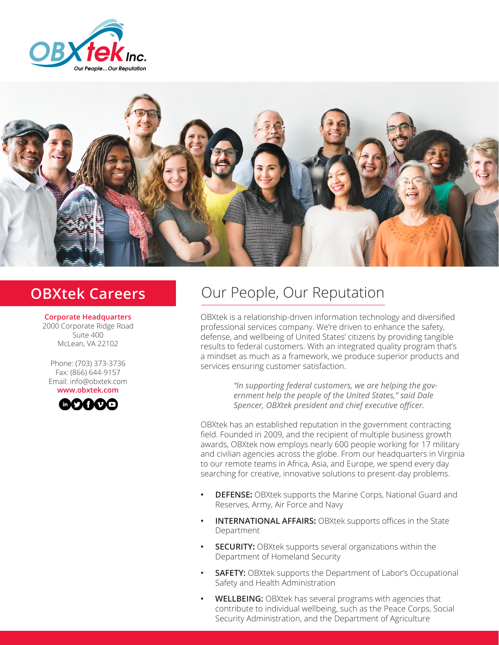



**Corporate Headquarters** 2000 Corporate Ridge Road Suite 400 McLean, VA 22102

Phone: (703) 373-3736 Fax: (866) 644-9157 Email: info@obxtek.com **www.obxtek.com**



# **OBXtek Careers Our People, Our Reputation**

OBXtek is a relationship-driven information technology and diversified professional services company. We're driven to enhance the safety, defense, and wellbeing of United States' citizens by providing tangible results to federal customers. With an integrated quality program that's a mindset as much as a framework, we produce superior products and services ensuring customer satisfaction.

> *"In supporting federal customers, we are helping the government help the people of the United States," said Dale Spencer, OBXtek president and chief executive officer.*

OBXtek has an established reputation in the government contracting field. Founded in 2009, and the recipient of multiple business growth awards, OBXtek now employs nearly 600 people working for 17 military and civilian agencies across the globe. From our headquarters in Virginia to our remote teams in Africa, Asia, and Europe, we spend every day searching for creative, innovative solutions to present-day problems.

- **• DEFENSE:** OBXtek supports the Marine Corps, National Guard and Reserves, Army, Air Force and Navy
- **• INTERNATIONAL AFFAIRS:** OBXtek supports offices in the State Department
- **• SECURITY:** OBXtek supports several organizations within the Department of Homeland Security
- **• SAFETY:** OBXtek supports the Department of Labor's Occupational Safety and Health Administration
- **• WELLBEING:** OBXtek has several programs with agencies that contribute to individual wellbeing, such as the Peace Corps, Social Security Administration, and the Department of Agriculture